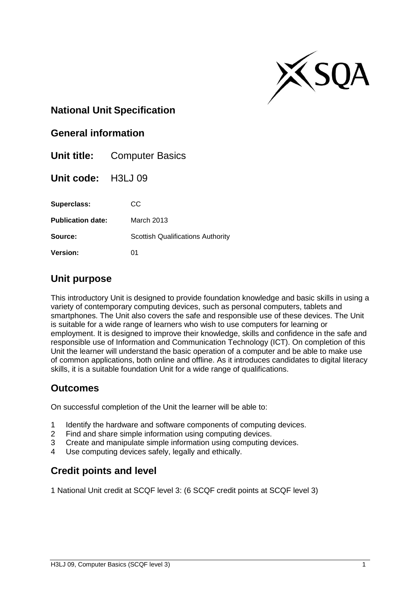

### **National Unit Specification**

#### **General information**

| Unit title:              | <b>Computer Basics</b>                   |
|--------------------------|------------------------------------------|
| Unit code: H3LJ 09       |                                          |
| Superclass:              | CC                                       |
| <b>Publication date:</b> | March 2013                               |
| Source:                  | <b>Scottish Qualifications Authority</b> |
| <b>Version:</b>          | 01                                       |

#### **Unit purpose**

This introductory Unit is designed to provide foundation knowledge and basic skills in using a variety of contemporary computing devices, such as personal computers, tablets and smartphones. The Unit also covers the safe and responsible use of these devices. The Unit is suitable for a wide range of learners who wish to use computers for learning or employment. It is designed to improve their knowledge, skills and confidence in the safe and responsible use of Information and Communication Technology (ICT). On completion of this Unit the learner will understand the basic operation of a computer and be able to make use of common applications, both online and offline. As it introduces candidates to digital literacy skills, it is a suitable foundation Unit for a wide range of qualifications.

#### **Outcomes**

On successful completion of the Unit the learner will be able to:

- 1 Identify the hardware and software components of computing devices.
- 2 Find and share simple information using computing devices.
- 3 Create and manipulate simple information using computing devices.
- 4 Use computing devices safely, legally and ethically.

### **Credit points and level**

1 National Unit credit at SCQF level 3: (6 SCQF credit points at SCQF level 3)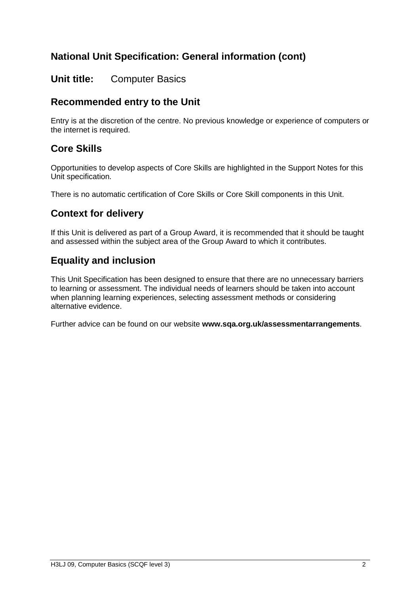# **National Unit Specification: General information (cont)**

#### **Unit title:** Computer Basics

## **Recommended entry to the Unit**

Entry is at the discretion of the centre. No previous knowledge or experience of computers or the internet is required.

#### **Core Skills**

Opportunities to develop aspects of Core Skills are highlighted in the Support Notes for this Unit specification.

There is no automatic certification of Core Skills or Core Skill components in this Unit.

## **Context for delivery**

If this Unit is delivered as part of a Group Award, it is recommended that it should be taught and assessed within the subject area of the Group Award to which it contributes.

## **Equality and inclusion**

This Unit Specification has been designed to ensure that there are no unnecessary barriers to learning or assessment. The individual needs of learners should be taken into account when planning learning experiences, selecting assessment methods or considering alternative evidence.

Further advice can be found on our website **www.sqa.org.uk/assessmentarrangements**.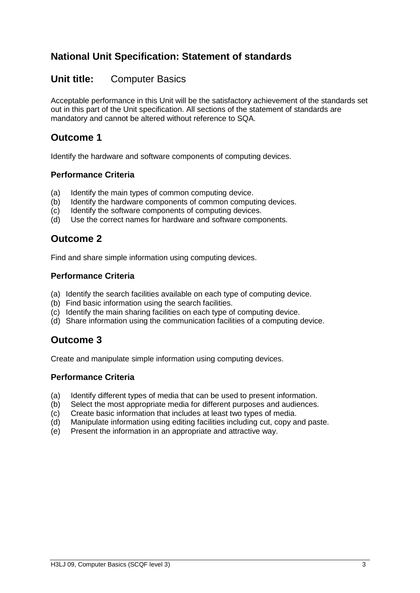## **National Unit Specification: Statement of standards**

#### **Unit title:** Computer Basics

Acceptable performance in this Unit will be the satisfactory achievement of the standards set out in this part of the Unit specification. All sections of the statement of standards are mandatory and cannot be altered without reference to SQA.

## **Outcome 1**

Identify the hardware and software components of computing devices.

#### **Performance Criteria**

- (a) Identify the main types of common computing device.
- (b) Identify the hardware components of common computing devices.
- (c) Identify the software components of computing devices.
- (d) Use the correct names for hardware and software components.

### **Outcome 2**

Find and share simple information using computing devices.

#### **Performance Criteria**

- (a) Identify the search facilities available on each type of computing device.
- (b) Find basic information using the search facilities.
- (c) Identify the main sharing facilities on each type of computing device.
- (d) Share information using the communication facilities of a computing device.

#### **Outcome 3**

Create and manipulate simple information using computing devices.

#### **Performance Criteria**

- (a) Identify different types of media that can be used to present information.
- (b) Select the most appropriate media for different purposes and audiences.
- (c) Create basic information that includes at least two types of media.
- (d) Manipulate information using editing facilities including cut, copy and paste.
- (e) Present the information in an appropriate and attractive way.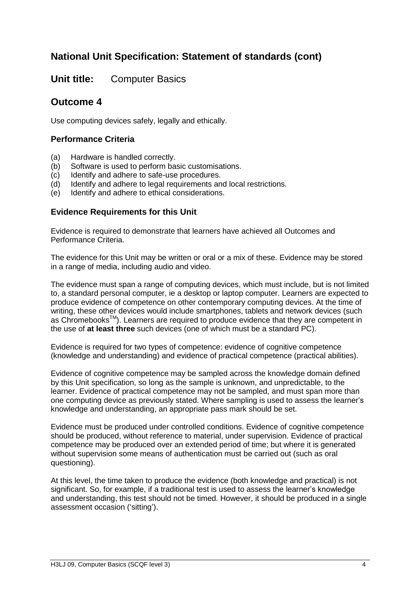# **National Unit Specification: Statement of standards (cont)**

**Unit title:** Computer Basics

## **Outcome 4**

Use computing devices safely, legally and ethically.

#### **Performance Criteria**

- (a) Hardware is handled correctly.
- (b) Software is used to perform basic customisations.
- (c) Identify and adhere to safe-use procedures.
- (d) Identify and adhere to legal requirements and local restrictions.
- (e) Identify and adhere to ethical considerations.

#### **Evidence Requirements for this Unit**

Evidence is required to demonstrate that learners have achieved all Outcomes and Performance Criteria.

The evidence for this Unit may be written or oral or a mix of these. Evidence may be stored in a range of media, including audio and video.

The evidence must span a range of computing devices, which must include, but is not limited to, a standard personal computer, ie a desktop or laptop computer. Learners are expected to produce evidence of competence on other contemporary computing devices. At the time of writing, these other devices would include smartphones, tablets and network devices (such as ChromebooksTM). Learners are required to produce evidence that they are competent in the use of **at least three** such devices (one of which must be a standard PC).

Evidence is required for two types of competence: evidence of cognitive competence (knowledge and understanding) and evidence of practical competence (practical abilities).

Evidence of cognitive competence may be sampled across the knowledge domain defined by this Unit specification, so long as the sample is unknown, and unpredictable, to the learner. Evidence of practical competence may not be sampled, and must span more than one computing device as previously stated. Where sampling is used to assess the learner's knowledge and understanding, an appropriate pass mark should be set.

Evidence must be produced under controlled conditions. Evidence of cognitive competence should be produced, without reference to material, under supervision. Evidence of practical competence may be produced over an extended period of time; but where it is generated without supervision some means of authentication must be carried out (such as oral questioning).

At this level, the time taken to produce the evidence (both knowledge and practical) is not significant. So, for example, if a traditional test is used to assess the learner's knowledge and understanding, this test should not be timed. However, it should be produced in a single assessment occasion ('sitting').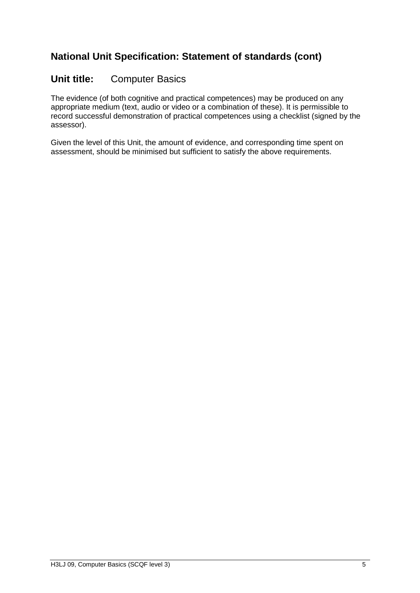# **National Unit Specification: Statement of standards (cont)**

### **Unit title:** Computer Basics

The evidence (of both cognitive and practical competences) may be produced on any appropriate medium (text, audio or video or a combination of these). It is permissible to record successful demonstration of practical competences using a checklist (signed by the assessor).

Given the level of this Unit, the amount of evidence, and corresponding time spent on assessment, should be minimised but sufficient to satisfy the above requirements.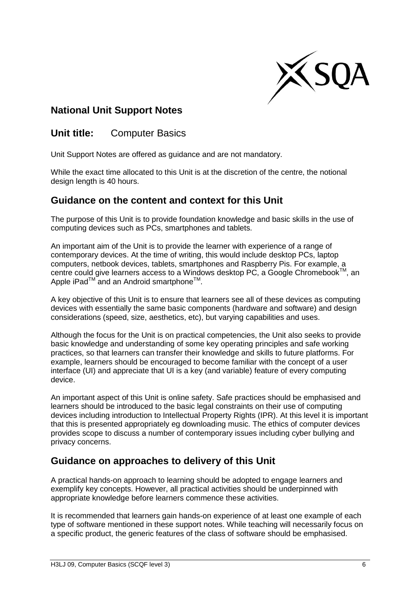

## **National Unit Support Notes**

**Unit title:** Computer Basics

Unit Support Notes are offered as guidance and are not mandatory.

While the exact time allocated to this Unit is at the discretion of the centre, the notional design length is 40 hours.

## **Guidance on the content and context for this Unit**

The purpose of this Unit is to provide foundation knowledge and basic skills in the use of computing devices such as PCs, smartphones and tablets.

An important aim of the Unit is to provide the learner with experience of a range of contemporary devices. At the time of writing, this would include desktop PCs, laptop computers, netbook devices, tablets, smartphones and Raspberry Pis. For example, a centre could give learners access to a Windows desktop PC, a Google Chromebook™. an Apple iPad<sup>™</sup> and an Android smartphone<sup>™</sup>.

A key objective of this Unit is to ensure that learners see all of these devices as computing devices with essentially the same basic components (hardware and software) and design considerations (speed, size, aesthetics, etc), but varying capabilities and uses.

Although the focus for the Unit is on practical competencies, the Unit also seeks to provide basic knowledge and understanding of some key operating principles and safe working practices, so that learners can transfer their knowledge and skills to future platforms. For example, learners should be encouraged to become familiar with the concept of a user interface (UI) and appreciate that UI is a key (and variable) feature of every computing device.

An important aspect of this Unit is online safety. Safe practices should be emphasised and learners should be introduced to the basic legal constraints on their use of computing devices including introduction to Intellectual Property Rights (IPR). At this level it is important that this is presented appropriately eg downloading music. The ethics of computer devices provides scope to discuss a number of contemporary issues including cyber bullying and privacy concerns.

### **Guidance on approaches to delivery of this Unit**

A practical hands-on approach to learning should be adopted to engage learners and exemplify key concepts. However, all practical activities should be underpinned with appropriate knowledge before learners commence these activities.

It is recommended that learners gain hands-on experience of at least one example of each type of software mentioned in these support notes. While teaching will necessarily focus on a specific product, the generic features of the class of software should be emphasised.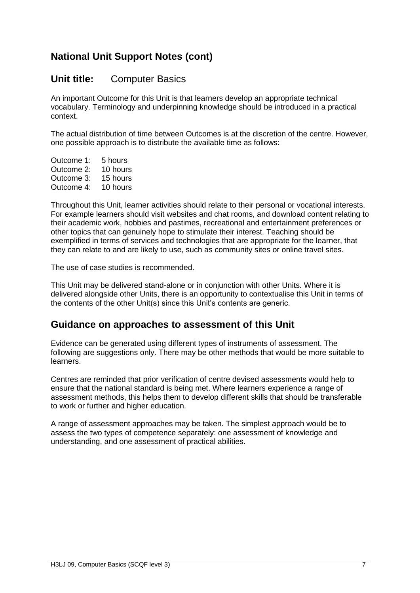# **National Unit Support Notes (cont)**

#### **Unit title:** Computer Basics

An important Outcome for this Unit is that learners develop an appropriate technical vocabulary. Terminology and underpinning knowledge should be introduced in a practical context.

The actual distribution of time between Outcomes is at the discretion of the centre. However, one possible approach is to distribute the available time as follows:

Outcome 1: 5 hours Outcome 2: 10 hours Outcome 3: 15 hours Outcome 4: 10 hours

Throughout this Unit, learner activities should relate to their personal or vocational interests. For example learners should visit websites and chat rooms, and download content relating to their academic work, hobbies and pastimes, recreational and entertainment preferences or other topics that can genuinely hope to stimulate their interest. Teaching should be exemplified in terms of services and technologies that are appropriate for the learner, that they can relate to and are likely to use, such as community sites or online travel sites.

The use of case studies is recommended.

This Unit may be delivered stand-alone or in conjunction with other Units. Where it is delivered alongside other Units, there is an opportunity to contextualise this Unit in terms of the contents of the other Unit(s) since this Unit's contents are generic.

#### **Guidance on approaches to assessment of this Unit**

Evidence can be generated using different types of instruments of assessment. The following are suggestions only. There may be other methods that would be more suitable to learners.

Centres are reminded that prior verification of centre devised assessments would help to ensure that the national standard is being met. Where learners experience a range of assessment methods, this helps them to develop different skills that should be transferable to work or further and higher education.

A range of assessment approaches may be taken. The simplest approach would be to assess the two types of competence separately: one assessment of knowledge and understanding, and one assessment of practical abilities.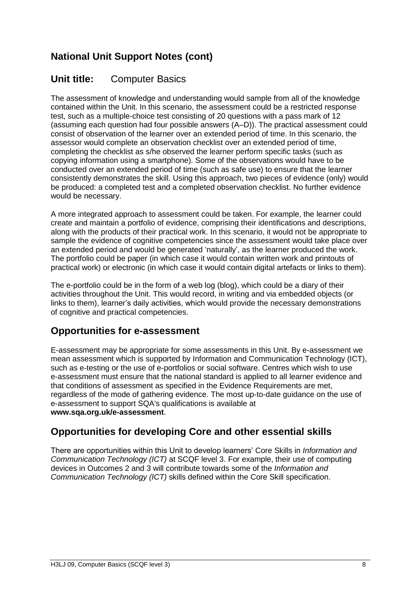# **National Unit Support Notes (cont)**

## **Unit title:** Computer Basics

The assessment of knowledge and understanding would sample from all of the knowledge contained within the Unit. In this scenario, the assessment could be a restricted response test, such as a multiple-choice test consisting of 20 questions with a pass mark of 12 (assuming each question had four possible answers (A–D)). The practical assessment could consist of observation of the learner over an extended period of time. In this scenario, the assessor would complete an observation checklist over an extended period of time, completing the checklist as s/he observed the learner perform specific tasks (such as copying information using a smartphone). Some of the observations would have to be conducted over an extended period of time (such as safe use) to ensure that the learner consistently demonstrates the skill. Using this approach, two pieces of evidence (only) would be produced: a completed test and a completed observation checklist. No further evidence would be necessary.

A more integrated approach to assessment could be taken. For example, the learner could create and maintain a portfolio of evidence, comprising their identifications and descriptions, along with the products of their practical work. In this scenario, it would not be appropriate to sample the evidence of cognitive competencies since the assessment would take place over an extended period and would be generated 'naturally', as the learner produced the work. The portfolio could be paper (in which case it would contain written work and printouts of practical work) or electronic (in which case it would contain digital artefacts or links to them).

The e-portfolio could be in the form of a web log (blog), which could be a diary of their activities throughout the Unit. This would record, in writing and via embedded objects (or links to them), learner's daily activities, which would provide the necessary demonstrations of cognitive and practical competencies.

### **Opportunities for e-assessment**

E-assessment may be appropriate for some assessments in this Unit. By e-assessment we mean assessment which is supported by Information and Communication Technology (ICT), such as e-testing or the use of e-portfolios or social software. Centres which wish to use e-assessment must ensure that the national standard is applied to all learner evidence and that conditions of assessment as specified in the Evidence Requirements are met, regardless of the mode of gathering evidence. The most up-to-date guidance on the use of e-assessment to support SQA's qualifications is available at **www.sqa.org.uk/e-assessment**.

# **Opportunities for developing Core and other essential skills**

There are opportunities within this Unit to develop learners' Core Skills in *Information and Communication Technology (ICT)* at SCQF level 3. For example, their use of computing devices in Outcomes 2 and 3 will contribute towards some of the *Information and Communication Technology (ICT)* skills defined within the Core Skill specification.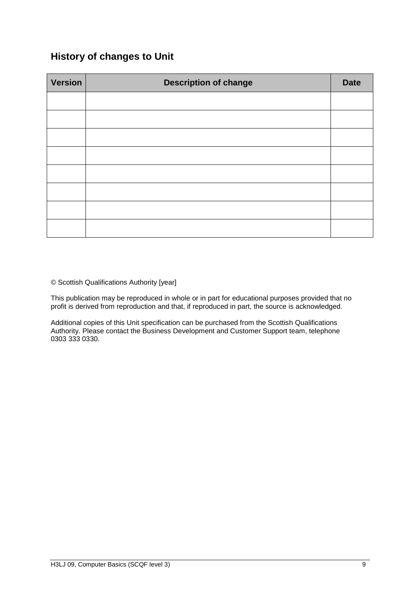## **History of changes to Unit**

| <b>Version</b> | <b>Description of change</b> | <b>Date</b> |
|----------------|------------------------------|-------------|
|                |                              |             |
|                |                              |             |
|                |                              |             |
|                |                              |             |
|                |                              |             |
|                |                              |             |
|                |                              |             |
|                |                              |             |

© Scottish Qualifications Authority [year]

This publication may be reproduced in whole or in part for educational purposes provided that no profit is derived from reproduction and that, if reproduced in part, the source is acknowledged.

Additional copies of this Unit specification can be purchased from the Scottish Qualifications Authority. Please contact the Business Development and Customer Support team, telephone 0303 333 0330.